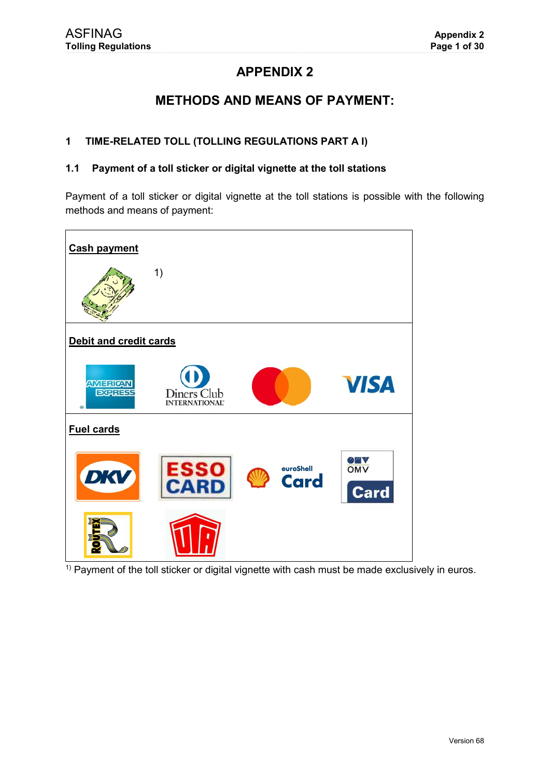# **APPENDIX 2**

# **METHODS AND MEANS OF PAYMENT:**

#### $\mathbf 1$ TIME-RELATED TOLL (TOLLING REGULATIONS PART A I)

#### Payment of a toll sticker or digital vignette at the toll stations  $1.1$

Payment of a toll sticker or digital vignette at the toll stations is possible with the following methods and means of payment:



<sup>1)</sup> Payment of the toll sticker or digital vignette with cash must be made exclusively in euros.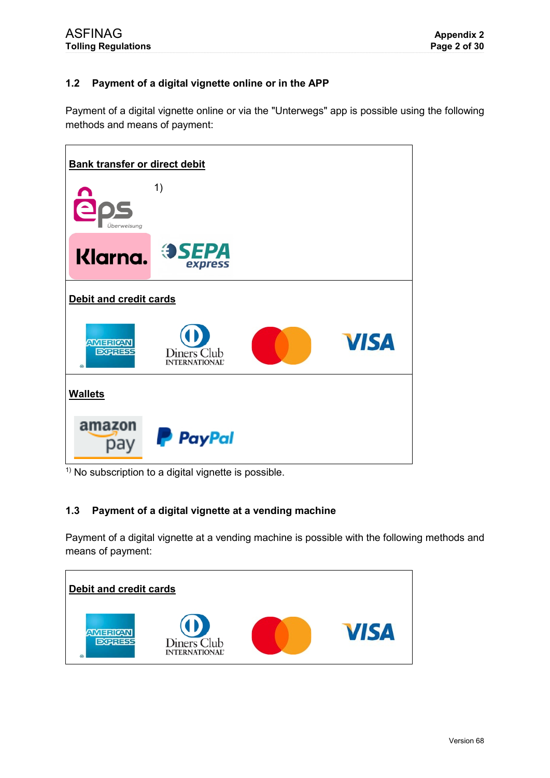# **1.2 Payment of a digital vignette online or in the APP**

Payment of a digital vignette online or via the "Unterwegs" app is possible using the following methods and means of payment:



 $1)$  No subscription to a digital vignette is possible.

# **1.3 Payment of a digital vignette at a vending machine**

Payment of a digital vignette at a vending machine is possible with the following methods and means of payment:

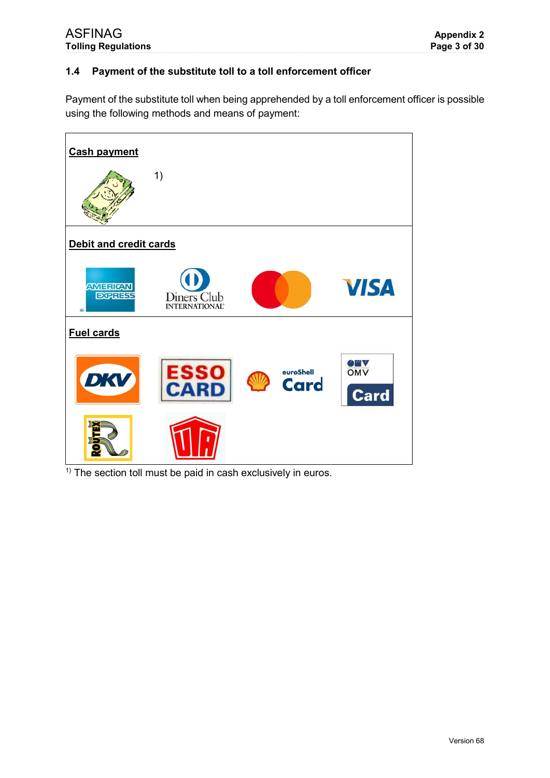# 1.4 Payment of the substitute toll to a toll enforcement officer

Payment of the substitute toll when being apprehended by a toll enforcement officer is possible using the following methods and means of payment:



 $<sup>1</sup>$  The section toll must be paid in cash exclusively in euros.</sup>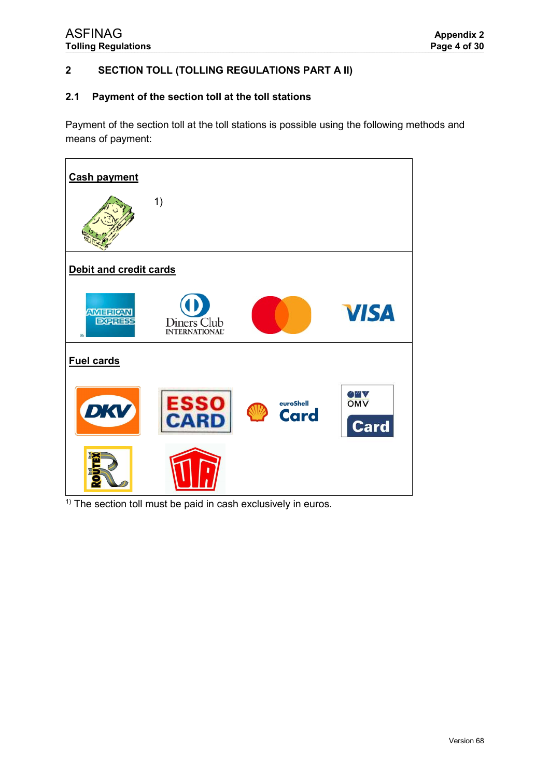**ASFINAG Tolling Regulations** 

#### **SECTION TOLL (TOLLING REGULATIONS PART A II)**  $\overline{2}$

#### Payment of the section toll at the toll stations  $2.1$

Payment of the section toll at the toll stations is possible using the following methods and means of payment:



 $\overline{1}$  The section toll must be paid in cash exclusively in euros.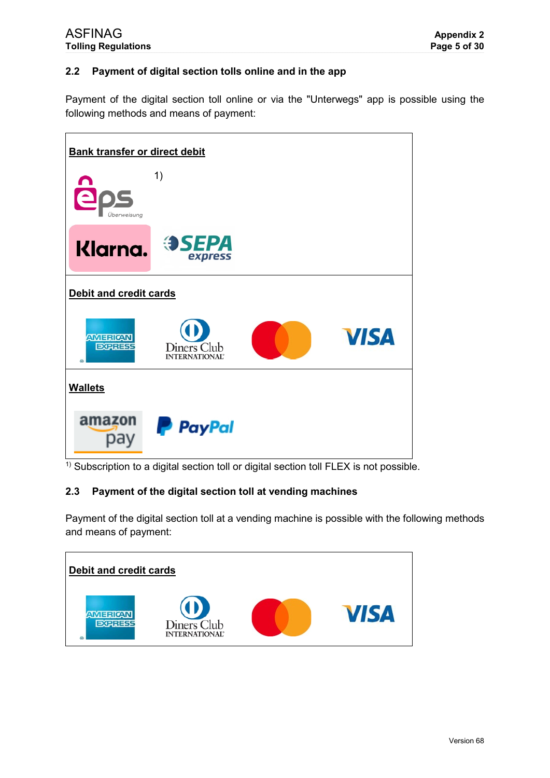# **2.2 Payment of digital section tolls online and in the app**

Payment of the digital section toll online or via the "Unterwegs" app is possible using the following methods and means of payment:



 $1)$  Subscription to a digital section toll or digital section toll FLEX is not possible.

### **2.3 Payment of the digital section toll at vending machines**

Payment of the digital section toll at a vending machine is possible with the following methods and means of payment:

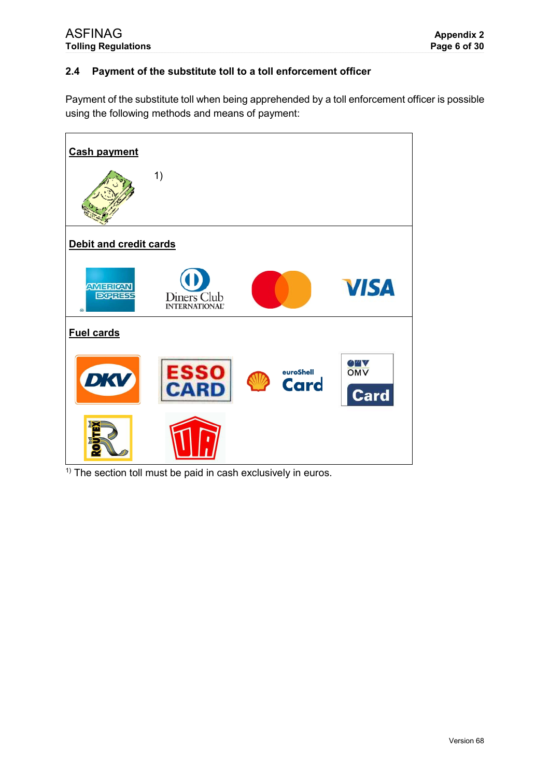#### Payment of the substitute toll to a toll enforcement officer  $2.4$

Payment of the substitute toll when being apprehended by a toll enforcement officer is possible using the following methods and means of payment:



 $<sup>1</sup>$  The section toll must be paid in cash exclusively in euros.</sup>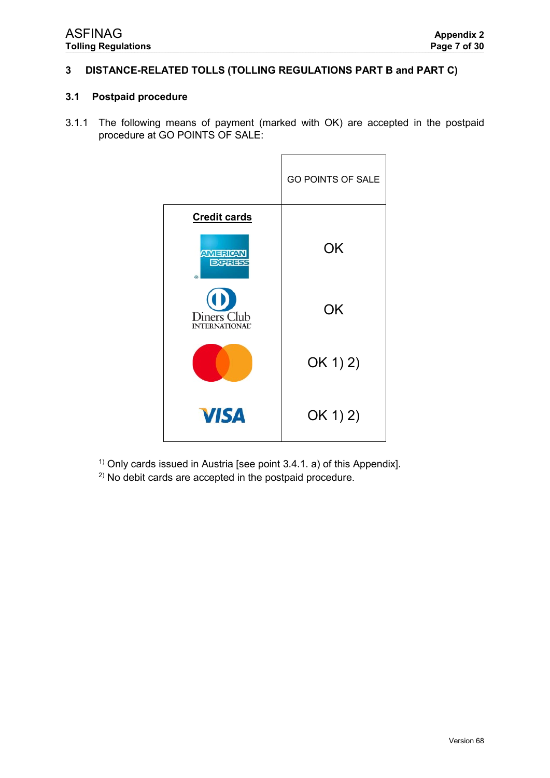#### DISTANCE-RELATED TOLLS (TOLLING REGULATIONS PART B and PART C)  $\overline{3}$

#### 3.1 Postpaid procedure

<span id="page-6-0"></span>3.1.1 The following means of payment (marked with OK) are accepted in the postpaid procedure at GO POINTS OF SALE:

|                                                  | GO POINTS OF SALE |
|--------------------------------------------------|-------------------|
| <b>Credit cards</b>                              |                   |
| <b>AMERICAN</b><br><b>EXPRESS</b><br>⋒           | OK                |
| Diners Club<br><b>INTERNATIONAL</b> <sup>2</sup> | <b>OK</b>         |
|                                                  | OK 1) 2)          |
| <b>VISA</b>                                      | OK 1) 2)          |

<sup>1)</sup> Only cards issued in Austria [see point 3.4.1. a) of this Appendix].

<sup>2)</sup> No debit cards are accepted in the postpaid procedure.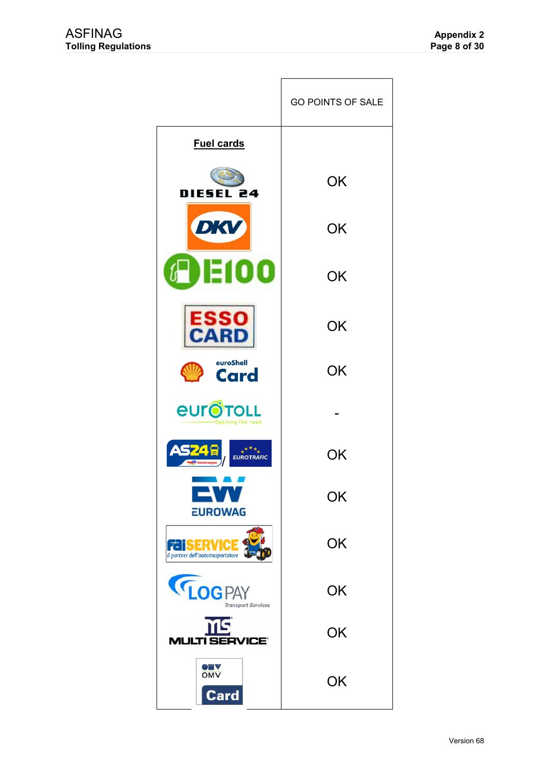|                                                       | <b>GO POINTS OF SALE</b> |
|-------------------------------------------------------|--------------------------|
| <b>Fuel cards</b>                                     |                          |
| DIESEL 24                                             | OK                       |
| DKV                                                   | OK                       |
| 100<br>6 DEI                                          | OK                       |
| ESSO<br><b>CARD</b>                                   | <b>OK</b>                |
| euroShell<br><b>Card</b>                              | OK                       |
| euro<br>Opening the road                              |                          |
| $\overline{A}$<br><b>EUROTRAFIC</b>                   | OK                       |
| $\blacksquare$<br><b>EUROWAG</b>                      | OK                       |
| <b>FaisERVIC</b><br>Il partner dell'autotrasportatore | OK                       |
| <b>LOGPAY</b><br><b>Transport Services</b>            | OK                       |
| <b>NG</b><br><b>MULTI SERVICE®</b>                    | OK                       |
| <b>OWY</b><br>OMV<br><b>Card</b>                      | OK                       |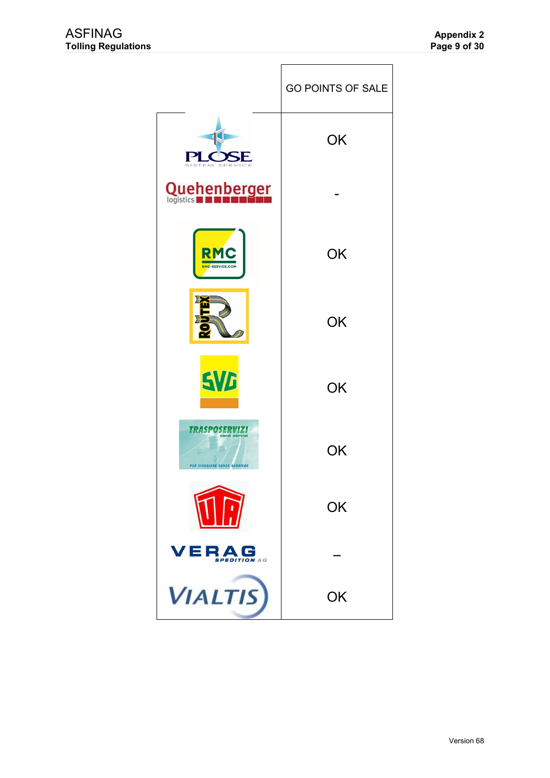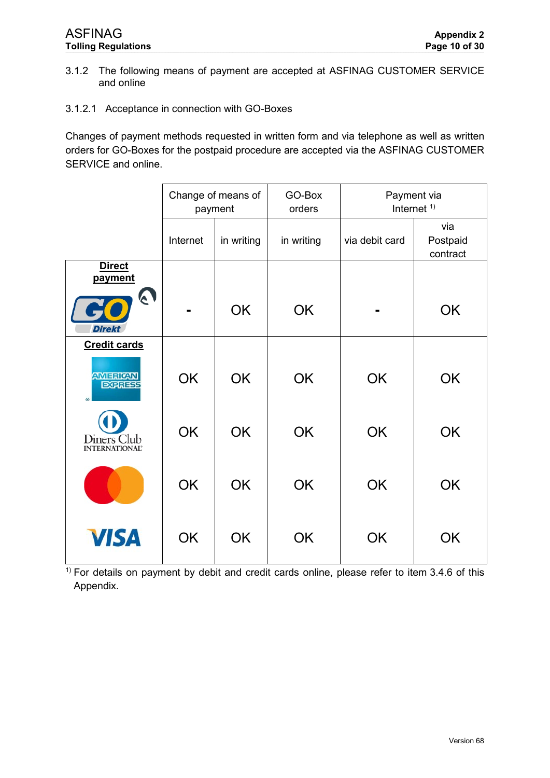- <span id="page-9-0"></span>3.1.2 The following means of payment are accepted at ASFINAG CUSTOMER SERVICE and online
- 3.1.2.1 Acceptance in connection with GO-Boxes

Changes of payment methods requested in written form and via telephone as well as written orders for GO-Boxes for the postpaid procedure are accepted via the ASFINAG CUSTOMER SERVICE and online.

|                                          |           | Change of means of<br>payment | GO-Box<br>orders | Payment via<br>Internet $1)$ |                             |  |
|------------------------------------------|-----------|-------------------------------|------------------|------------------------------|-----------------------------|--|
|                                          | Internet  | in writing                    | in writing       | via debit card               | via<br>Postpaid<br>contract |  |
| <b>Direct</b><br>payment                 |           |                               |                  |                              |                             |  |
| $\boldsymbol{\epsilon}$<br><b>Direkt</b> |           | <b>OK</b>                     | OK               |                              | <b>OK</b>                   |  |
| <b>Credit cards</b>                      |           |                               |                  |                              |                             |  |
| <b>AMERICAN</b><br><b>EXPRESS</b><br>®   | <b>OK</b> | <b>OK</b>                     | <b>OK</b>        | <b>OK</b>                    | <b>OK</b>                   |  |
| Diners Club<br><b>INTERNATIONAL®</b>     | <b>OK</b> | <b>OK</b>                     | <b>OK</b>        | <b>OK</b>                    | <b>OK</b>                   |  |
|                                          | <b>OK</b> | <b>OK</b>                     | <b>OK</b>        | <b>OK</b>                    | <b>OK</b>                   |  |
| <b>VISA</b>                              | <b>OK</b> | <b>OK</b>                     | <b>OK</b>        | <b>OK</b>                    | <b>OK</b>                   |  |

 $1)$  For details on payment by debit and credit cards online, please refer to item [3.4.6](#page-29-0) of this Appendix.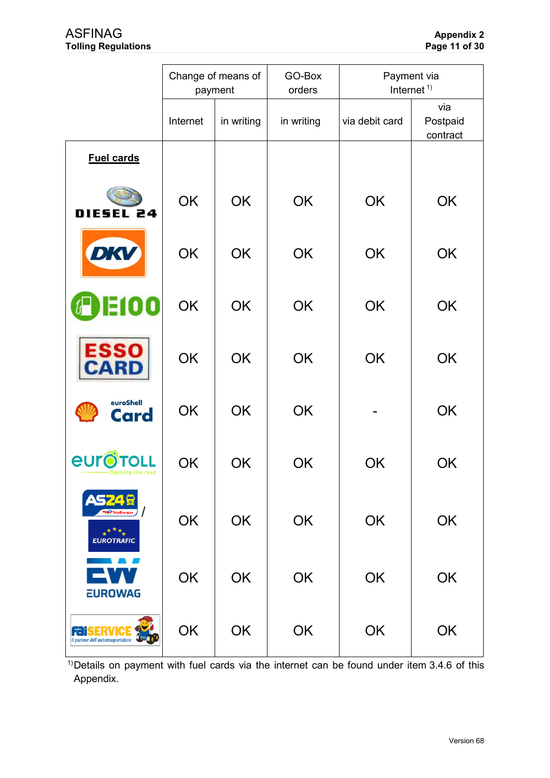|                                                                 |           | Change of means of<br>payment | GO-Box<br>orders | Payment via<br>Internet <sup><math>1</math></sup> |                             |
|-----------------------------------------------------------------|-----------|-------------------------------|------------------|---------------------------------------------------|-----------------------------|
|                                                                 | Internet  | in writing                    | in writing       | via debit card                                    | via<br>Postpaid<br>contract |
| <b>Fuel cards</b>                                               |           |                               |                  |                                                   |                             |
| DIESEL 24                                                       | OK        | <b>OK</b>                     | <b>OK</b>        | OK                                                | OK                          |
| DKV                                                             | OK        | OK                            | <b>OK</b>        | <b>OK</b>                                         | <b>OK</b>                   |
| DO                                                              | <b>OK</b> | <b>OK</b>                     | OK               | OK                                                | OK                          |
| <b>ESSO</b><br>ARD                                              | OK        | OK                            | <b>OK</b>        | <b>OK</b>                                         | OK                          |
| euroShell<br><b>Card</b>                                        | OK        | <b>OK</b>                     | OK               |                                                   | OK                          |
| eur<br><b>Opening the road</b>                                  | OK        | OK                            | OK               | OK                                                | OK                          |
| <b>AS74 F</b><br>$\star^{\star\star\star}$<br><b>EUROTRAFIC</b> | OK        | OK                            | OK               | OK                                                | OK                          |
| <b>EUROWAG</b>                                                  | OK        | OK                            | OK               | OK                                                | OK                          |
| 7-i<br>Il partner dell'autotrasportatore                        | OK        | OK                            | OK               | OK                                                | OK                          |

<sup>1)</sup>Details on payment with fuel cards via the internet can be found under item 3.4.6 of this Appendix.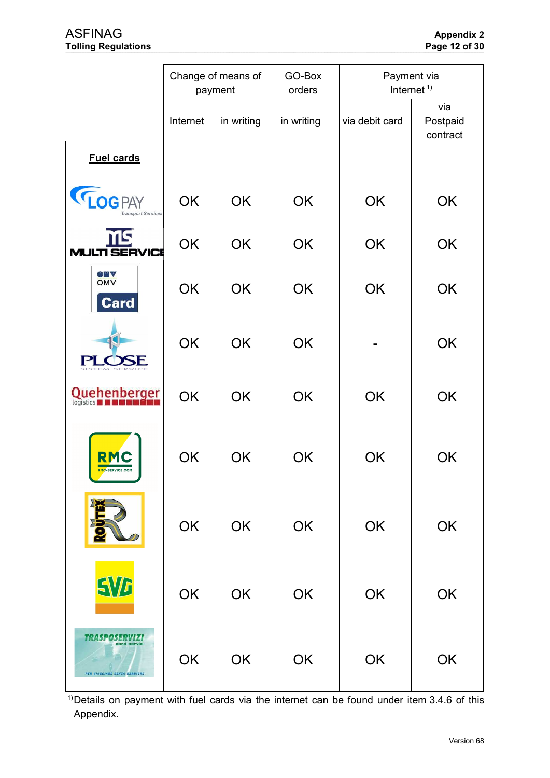|                                                          |          | Change of means of<br>payment | GO-Box<br>orders | Payment via<br>Internet <sup><math>1</math></sup> |                             |  |
|----------------------------------------------------------|----------|-------------------------------|------------------|---------------------------------------------------|-----------------------------|--|
|                                                          | Internet | in writing                    | in writing       | via debit card                                    | via<br>Postpaid<br>contract |  |
| <b>Fuel cards</b>                                        |          |                               |                  |                                                   |                             |  |
| <b>LOGPAY</b><br><b>Transport Services</b>               | OK       | OK                            | OK               | OK                                                | OK                          |  |
| MS<br><b>MULTI SERVICE</b>                               | OK       | <b>OK</b>                     | <b>OK</b>        | OK                                                | OK                          |  |
| <b>OMA</b><br><b>Card</b>                                | OK       | <b>OK</b>                     | <b>OK</b>        | OK                                                | OK                          |  |
| Р                                                        | OK       | <b>OK</b>                     | <b>OK</b>        |                                                   | OK                          |  |
| Quehenberger<br>logistics                                | OK       | OK                            | <b>OK</b>        | OK                                                | <b>OK</b>                   |  |
| RMC-SERVICE.COM                                          | OK       | OK                            | OK               | OK                                                | OK                          |  |
|                                                          | OK       | OK                            | OK               | OK                                                | OK                          |  |
| EVG                                                      | OK       | OK                            | OK               | OK                                                | OK                          |  |
| アフトソンバイン<br>card servizi<br>PER VIAGGIARE SENZA BARRIERE | OK       | OK                            | OK               | OK                                                | OK                          |  |

<sup>1)</sup>Details on payment with fuel cards via the internet can be found under item 3.4.6 of this Appendix.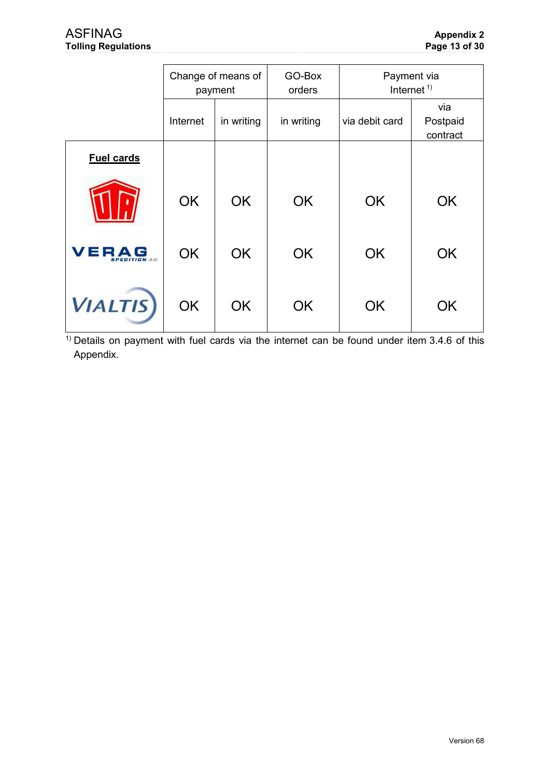|                             | Change of means of<br>payment |            | GO-Box<br>orders | Payment via<br>Internet <sup><math>1)</math></sup> |                             |
|-----------------------------|-------------------------------|------------|------------------|----------------------------------------------------|-----------------------------|
|                             | Internet                      | in writing | in writing       | via debit card                                     | via<br>Postpaid<br>contract |
| <b>Fuel cards</b>           |                               |            |                  |                                                    |                             |
|                             | <b>OK</b>                     | <b>OK</b>  | <b>OK</b>        | <b>OK</b>                                          | <b>OK</b>                   |
| VERAG<br><b>PEDITION</b> AG | <b>OK</b>                     | <b>OK</b>  | <b>OK</b>        | <b>OK</b>                                          | <b>OK</b>                   |
| <b>VIALTIS</b>              | OK                            | <b>OK</b>  | <b>OK</b>        | <b>OK</b>                                          | OK                          |

 $\frac{1}{1}$  Details on payment with fuel cards via the internet can be found under item 3.4.6 of this Appendix.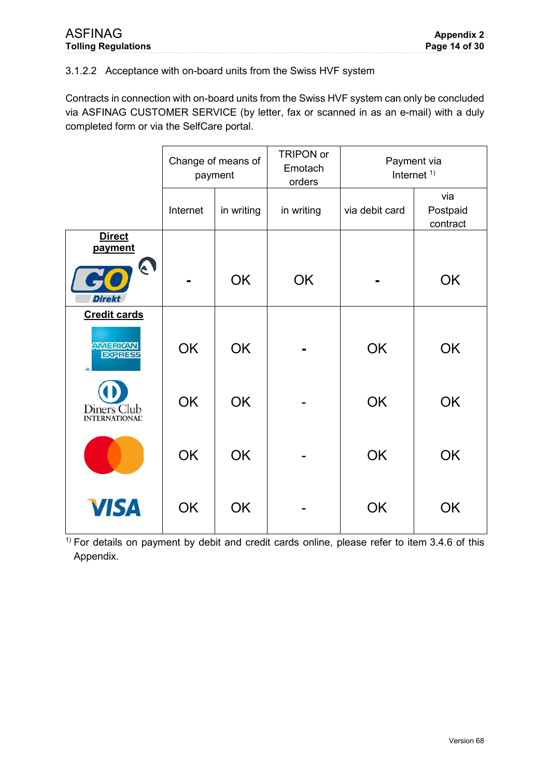# 3.1.2.2 Acceptance with on-board units from the Swiss HVF system

Contracts in connection with on-board units from the Swiss HVF system can only be concluded via ASFINAG CUSTOMER SERVICE (by letter, fax or scanned in as an e-mail) with a duly completed form or via the SelfCare portal.

|                                                     | Change of means of<br>payment |            | <b>TRIPON or</b><br>Emotach<br>orders | Internet <sup><math>1</math></sup> | Payment via                 |
|-----------------------------------------------------|-------------------------------|------------|---------------------------------------|------------------------------------|-----------------------------|
|                                                     | Internet                      | in writing | in writing                            | via debit card                     | via<br>Postpaid<br>contract |
| <b>Direct</b><br>payment<br>$\boldsymbol{\epsilon}$ |                               |            |                                       |                                    |                             |
| E<br><b>Direkt</b>                                  |                               | <b>OK</b>  | <b>OK</b>                             |                                    | <b>OK</b>                   |
| <b>Credit cards</b>                                 |                               |            |                                       |                                    |                             |
| <b>AMERICAN</b><br><b>ECRRESS</b>                   | <b>OK</b>                     | <b>OK</b>  |                                       | <b>OK</b>                          | <b>OK</b>                   |
| Diners Club<br><b>INTERNATIONAL®</b>                | <b>OK</b>                     | <b>OK</b>  |                                       | <b>OK</b>                          | <b>OK</b>                   |
|                                                     | <b>OK</b>                     | <b>OK</b>  |                                       | <b>OK</b>                          | <b>OK</b>                   |
| <b>VISA</b>                                         | <b>OK</b>                     | <b>OK</b>  |                                       | <b>OK</b>                          | <b>OK</b>                   |

 $1)$  For details on payment by debit and credit cards online, please refer to item [3.4.6](#page-29-0) of this Appendix.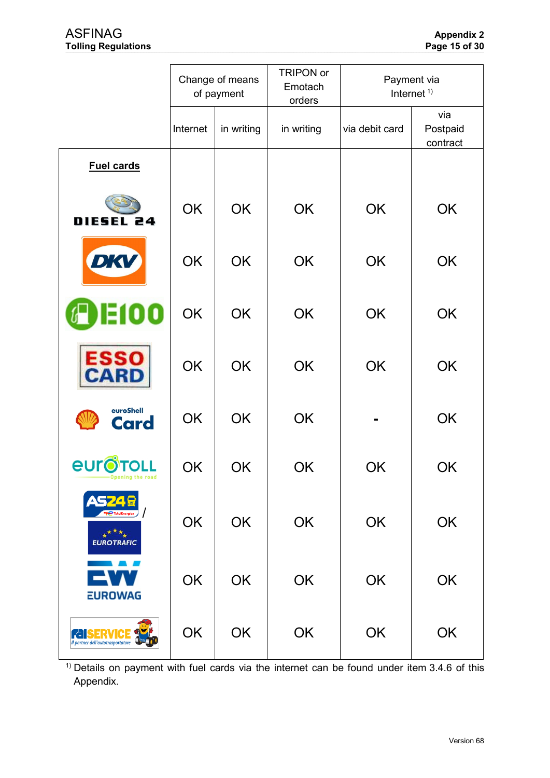|                                                                   |           | Change of means<br>of payment | <b>TRIPON or</b><br>Emotach<br>orders | Payment via<br>Internet <sup>1)</sup> |                             |  |
|-------------------------------------------------------------------|-----------|-------------------------------|---------------------------------------|---------------------------------------|-----------------------------|--|
|                                                                   | Internet  | in writing                    | in writing                            | via debit card                        | via<br>Postpaid<br>contract |  |
| <b>Fuel cards</b>                                                 |           |                               |                                       |                                       |                             |  |
| DIESEL 24                                                         | <b>OK</b> | <b>OK</b>                     | <b>OK</b>                             | <b>OK</b>                             | <b>OK</b>                   |  |
| DKV                                                               | <b>OK</b> | <b>OK</b>                     | <b>OK</b>                             | <b>OK</b>                             | OK                          |  |
| 100<br>о                                                          | <b>OK</b> | <b>OK</b>                     | <b>OK</b>                             | <b>OK</b>                             | OK                          |  |
| ESSO<br>CARI                                                      | <b>OK</b> | <b>OK</b>                     | <b>OK</b>                             | <b>OK</b>                             | OK                          |  |
| euroShell<br>Card                                                 | <b>OK</b> | <b>OK</b>                     | <b>OK</b>                             |                                       | OK                          |  |
| <b><i><u>EULOTOLL</u></i></b>                                     | <b>OK</b> | OK                            | OK                                    | OK                                    | OK                          |  |
| TotalEnergies )<br>$\star^{\star\star}\star$<br><b>EUROTRAFIC</b> | OK        | OK                            | OK                                    | OK                                    | OK                          |  |
| <b>EUROWAG</b>                                                    | OK        | OK                            | OK                                    | OK                                    | OK                          |  |
| Il partner dell'autotrasportatore                                 | OK        | OK                            | OK                                    | OK                                    | OK                          |  |

<sup>1)</sup> Details on payment with fuel cards via the internet can be found under item 3.4.6 of this Appendix.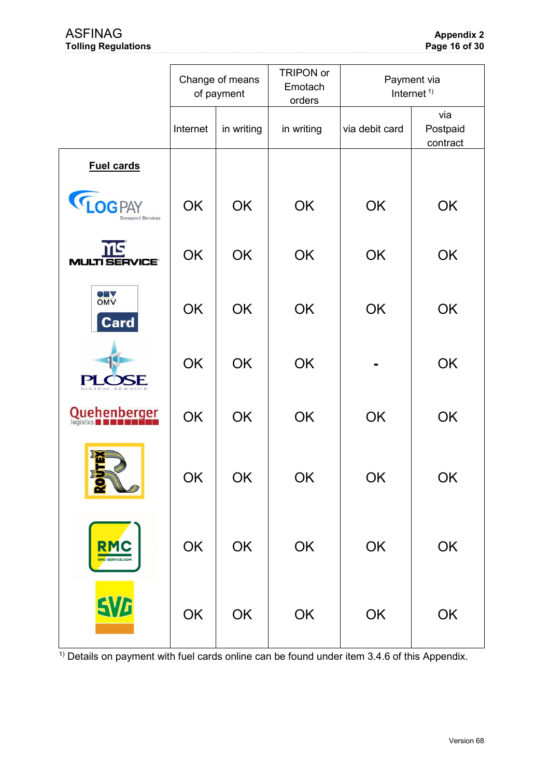|                                            |           | Change of means<br>of payment | TRIPON or<br>Emotach<br>orders | Payment via<br>Internet <sup>1)</sup> |                             |  |
|--------------------------------------------|-----------|-------------------------------|--------------------------------|---------------------------------------|-----------------------------|--|
|                                            | Internet  | in writing                    | in writing                     | via debit card                        | via<br>Postpaid<br>contract |  |
| <b>Fuel cards</b>                          |           |                               |                                |                                       |                             |  |
| <b>LOGPAY</b><br><b>Transport Services</b> | <b>OK</b> | <b>OK</b>                     | OK                             | OK                                    | OK                          |  |
| MS<br><b>MULTI SERVICE'</b>                | <b>OK</b> | <b>OK</b>                     | OK                             | OK                                    | OK                          |  |
| <b>OMA</b><br><b>Card</b>                  | OK        | OK                            | OK                             | <b>OK</b>                             | OK                          |  |
|                                            | OK        | <b>OK</b>                     | OK                             |                                       | OK                          |  |
| Quehenberger<br>logistics                  | OK        | <b>OK</b>                     | OK                             | OK                                    | OK                          |  |
| <b>2</b>                                   | OK        | OK                            | OK                             | OK                                    | OK                          |  |
| <b>RMC</b><br>RMC-SERVICE.COM              | OK        | OK                            | OK                             | OK                                    | OK                          |  |
| <b>SVB</b>                                 | OK        | OK                            | OK                             | OK                                    | OK                          |  |

<sup>1)</sup> Details on payment with fuel cards online can be found under item 3.4.6 of this Appendix.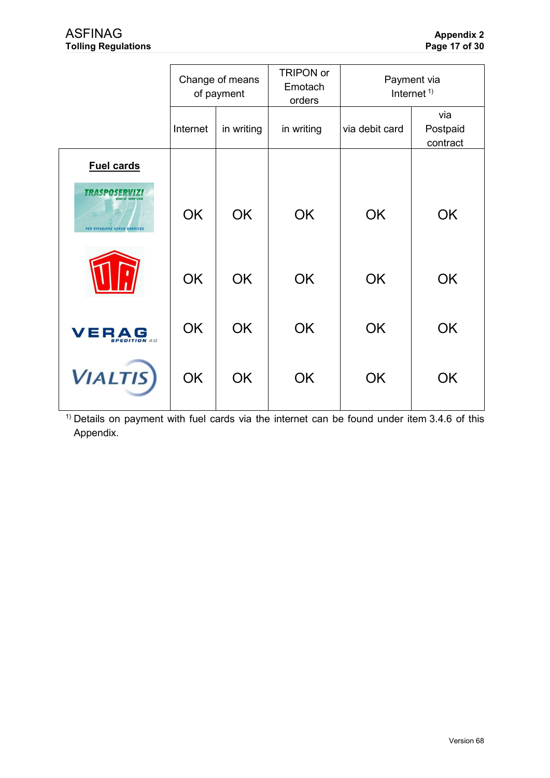|                                         | Change of means<br>of payment |            | TRIPON or<br>Emotach<br>orders | Payment via<br>Internet <sup><math>1)</math></sup> |                             |  |
|-----------------------------------------|-------------------------------|------------|--------------------------------|----------------------------------------------------|-----------------------------|--|
|                                         | Internet                      | in writing | in writing                     | via debit card                                     | via<br>Postpaid<br>contract |  |
| <b>Fuel cards</b>                       |                               |            |                                |                                                    |                             |  |
| TY STAS<br>PER VIAGGIARE SENZA BARRIERE | <b>OK</b>                     | <b>OK</b>  | <b>OK</b>                      | OK                                                 | <b>OK</b>                   |  |
|                                         | <b>OK</b>                     | <b>OK</b>  | <b>OK</b>                      | OK                                                 | <b>OK</b>                   |  |
| VER<br>$\Delta$<br><b>PEDITION AG</b>   | <b>OK</b>                     | <b>OK</b>  | <b>OK</b>                      | <b>OK</b>                                          | <b>OK</b>                   |  |
| <b>VIALTIS</b>                          | <b>OK</b>                     | <b>OK</b>  | <b>OK</b>                      | OK                                                 | OK                          |  |

<sup>1)</sup> Details on payment with fuel cards via the internet can be found under item 3.4.6 of this Appendix.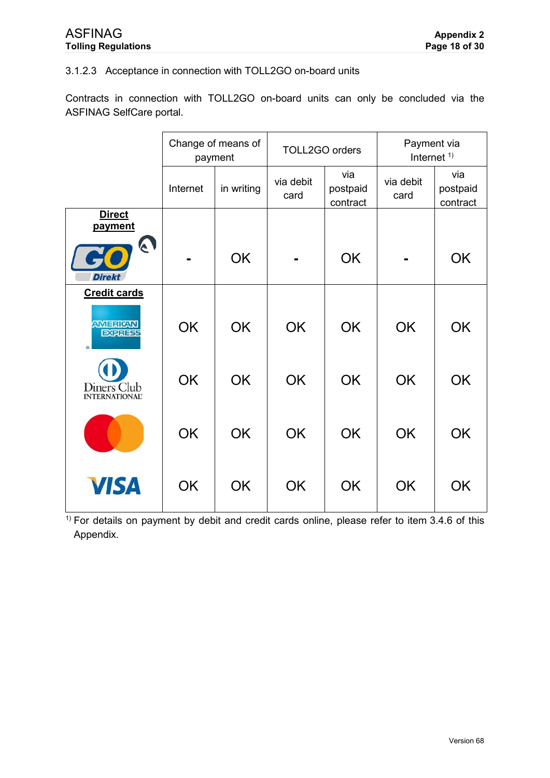## 3.1.2.3 Acceptance in connection with TOLL2GO on-board units

Contracts in connection with TOLL2GO on-board units can only be concluded via the ASFINAG SelfCare portal.

|                                        | Change of means of<br>payment |            | TOLL2GO orders    |                             | Payment via<br>Internet $1)$ |                             |
|----------------------------------------|-------------------------------|------------|-------------------|-----------------------------|------------------------------|-----------------------------|
|                                        | Internet                      | in writing | via debit<br>card | via<br>postpaid<br>contract | via debit<br>card            | via<br>postpaid<br>contract |
| <b>Direct</b><br>payment               |                               |            |                   |                             |                              |                             |
| A<br><b>Direkt</b>                     |                               | <b>OK</b>  |                   | <b>OK</b>                   |                              | <b>OK</b>                   |
| <b>Credit cards</b>                    |                               |            |                   |                             |                              |                             |
| <b>AMERICAN</b><br><b>EXPRISE</b><br>® | <b>OK</b>                     | <b>OK</b>  | <b>OK</b>         | <b>OK</b>                   | <b>OK</b>                    | <b>OK</b>                   |
| Diners Club<br><b>INTERNATIONAL</b>    | <b>OK</b>                     | <b>OK</b>  | <b>OK</b>         | <b>OK</b>                   | <b>OK</b>                    | <b>OK</b>                   |
|                                        | <b>OK</b>                     | <b>OK</b>  | <b>OK</b>         | <b>OK</b>                   | <b>OK</b>                    | <b>OK</b>                   |
| <b>VISA</b>                            | <b>OK</b>                     | <b>OK</b>  | <b>OK</b>         | <b>OK</b>                   | <b>OK</b>                    | <b>OK</b>                   |

 $\frac{1}{1}$  For details on payment by debit and credit cards online, please refer to item [3.4.6](#page-29-0) of this Appendix.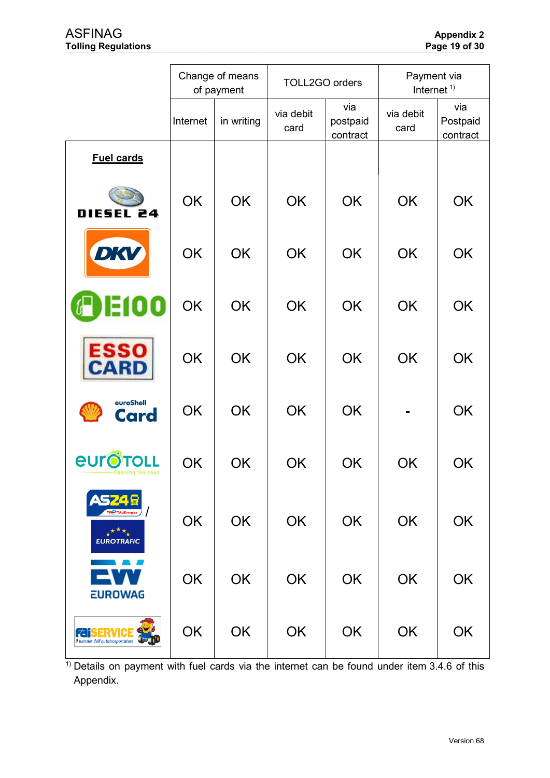|                                                   |           | Change of means<br>of payment | TOLL2GO orders    |                             | Payment via<br>Internet <sup><math>1</math></sup> |                             |
|---------------------------------------------------|-----------|-------------------------------|-------------------|-----------------------------|---------------------------------------------------|-----------------------------|
|                                                   | Internet  | in writing                    | via debit<br>card | via<br>postpaid<br>contract | via debit<br>card                                 | via<br>Postpaid<br>contract |
| <b>Fuel cards</b>                                 |           |                               |                   |                             |                                                   |                             |
| <b>DIESEL</b><br>24                               | OK        | <b>OK</b>                     | <b>OK</b>         | <b>OK</b>                   | <b>OK</b>                                         | <b>OK</b>                   |
| DKV                                               | <b>OK</b> | <b>OK</b>                     | <b>OK</b>         | <b>OK</b>                   | <b>OK</b>                                         | OK                          |
| 00                                                | <b>OK</b> | <b>OK</b>                     | <b>OK</b>         | <b>OK</b>                   | <b>OK</b>                                         | <b>OK</b>                   |
| ESSO<br>CARD                                      | <b>OK</b> | <b>OK</b>                     | <b>OK</b>         | <b>OK</b>                   | <b>OK</b>                                         | <b>OK</b>                   |
| euroShell<br><b>Card</b>                          | <b>OK</b> | <b>OK</b>                     | <b>OK</b>         | <b>OK</b>                   |                                                   | OK                          |
| eurc<br>Opening the road                          | OK        | <b>OK</b>                     | <b>OK</b>         | OK                          | <b>OK</b>                                         | OK                          |
| $\star^{\star\star}\star$<br><b>EUROTRAFIC</b>    | OK        | OK                            | OK                | OK                          | <b>OK</b>                                         | <b>OK</b>                   |
| <b>EUROWAG</b>                                    | OK        | <b>OK</b>                     | OK                | OK                          | <b>OK</b>                                         | <b>OK</b>                   |
| FRV<br>ra il<br>Il partner dell'autotrasportatore | OK        | OK                            | OK                | OK                          | <b>OK</b>                                         | OK                          |

<sup>1)</sup> Details on payment with fuel cards via the internet can be found under item 3.4.6 of this Appendix.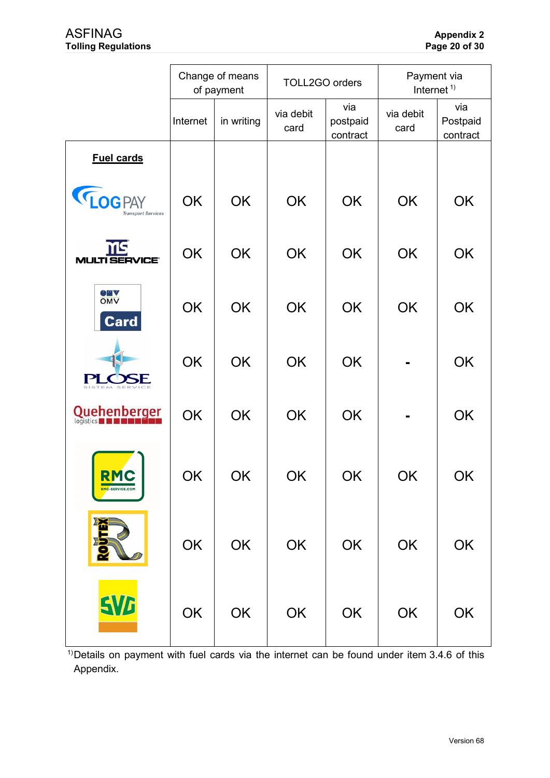|                                            | Change of means<br>of payment |            | TOLL2GO orders    |                             | Payment via<br>Internet <sup>1)</sup> |                             |
|--------------------------------------------|-------------------------------|------------|-------------------|-----------------------------|---------------------------------------|-----------------------------|
|                                            | Internet                      | in writing | via debit<br>card | via<br>postpaid<br>contract | via debit<br>card                     | via<br>Postpaid<br>contract |
| <b>Fuel cards</b>                          |                               |            |                   |                             |                                       |                             |
| <b>LOGPAY</b><br><b>Transport Services</b> | OK                            | OK         | OK                | OK                          | OK                                    | OK                          |
| ms<br><b>MULTI SERVICE®</b>                | OK                            | OK         | OK                | OK                          | OK                                    | OK                          |
| <b>OMA</b><br><b>Card</b>                  | OK                            | OK         | OK                | OK                          | OK                                    | OK                          |
| DE                                         | OK                            | OK         | OK                | OK                          |                                       | OK                          |
| <b>Quehenberger</b>                        | <b>OK</b>                     | OK         | OK                | OK                          |                                       | OK                          |
| RMC<br><b>RMC-SERVICE.COM</b>              | <b>OK</b>                     | <b>OK</b>  | <b>OK</b>         | <b>OK</b>                   | OK                                    | OK                          |
|                                            | OK                            | OK         | OK                | OK                          | OK                                    | OK                          |
| <b>SVA</b>                                 | OK                            | OK         | OK                | OK                          | OK                                    | OK                          |

<sup>1)</sup>Details on payment with fuel cards via the internet can be found under item 3.4.6 of this Appendix.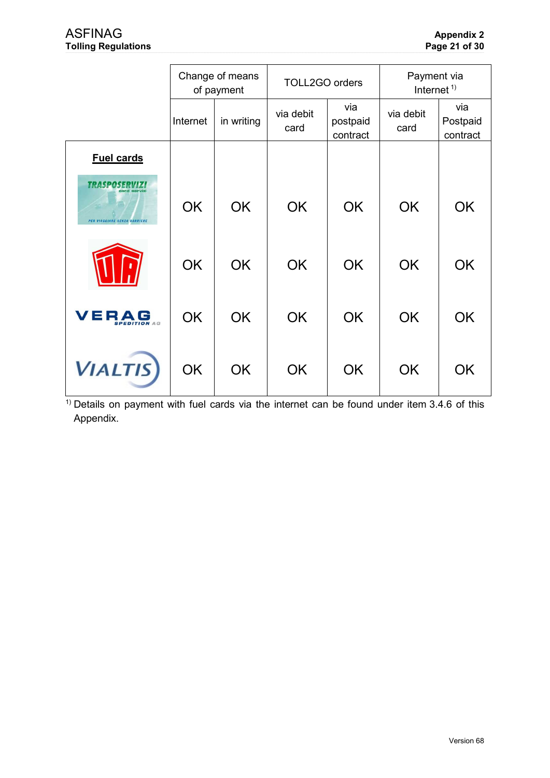|                                                  | Change of means<br>of payment |            | TOLL2GO orders    |                             | Payment via<br>Internet <sup><math>1)</math></sup> |                             |
|--------------------------------------------------|-------------------------------|------------|-------------------|-----------------------------|----------------------------------------------------|-----------------------------|
|                                                  | Internet                      | in writing | via debit<br>card | via<br>postpaid<br>contract | via debit<br>card                                  | via<br>Postpaid<br>contract |
| <b>Fuel cards</b>                                |                               |            |                   |                             |                                                    |                             |
| <b>TRASPOSER</b><br>PER VIAGGIARE SENZA BARRIERE | <b>OK</b>                     | <b>OK</b>  | <b>OK</b>         | <b>OK</b>                   | <b>OK</b>                                          | <b>OK</b>                   |
|                                                  | <b>OK</b>                     | <b>OK</b>  | <b>OK</b>         | <b>OK</b>                   | <b>OK</b>                                          | <b>OK</b>                   |
| VERAG<br><b>SPEDITION AG</b>                     | <b>OK</b>                     | <b>OK</b>  | <b>OK</b>         | <b>OK</b>                   | <b>OK</b>                                          | <b>OK</b>                   |
| <b>VIALTIS</b>                                   | <b>OK</b>                     | <b>OK</b>  | <b>OK</b>         | <b>OK</b>                   | <b>OK</b>                                          | <b>OK</b>                   |

 $<sup>1</sup>$  Details on payment with fuel cards via the internet can be found under item 3.4.6 of this</sup> Appendix.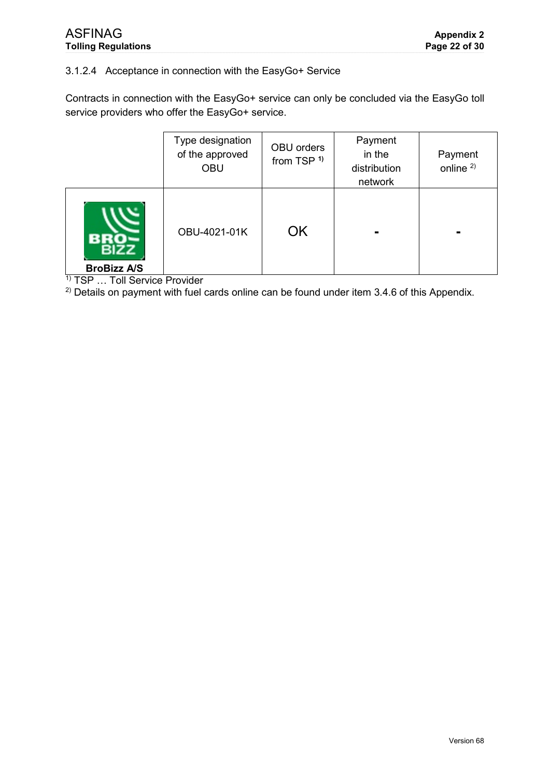# 3.1.2.4 Acceptance in connection with the EasyGo+ Service

Contracts in connection with the EasyGo+ service can only be concluded via the EasyGo toll service providers who offer the EasyGo+ service.

|                    | Type designation<br>of the approved<br><b>OBU</b> | OBU orders<br>from TSP <sup>1)</sup> | Payment<br>in the<br>distribution<br>network | Payment<br>online <sup>2)</sup> |
|--------------------|---------------------------------------------------|--------------------------------------|----------------------------------------------|---------------------------------|
| <b>BroBizz A/S</b> | OBU-4021-01K                                      | <b>OK</b>                            |                                              |                                 |

<sup>1)</sup> TSP ... Toll Service Provider

 $2)$  Details on payment with fuel cards online can be found under item [3.4.6](#page-29-0) of this Appendix.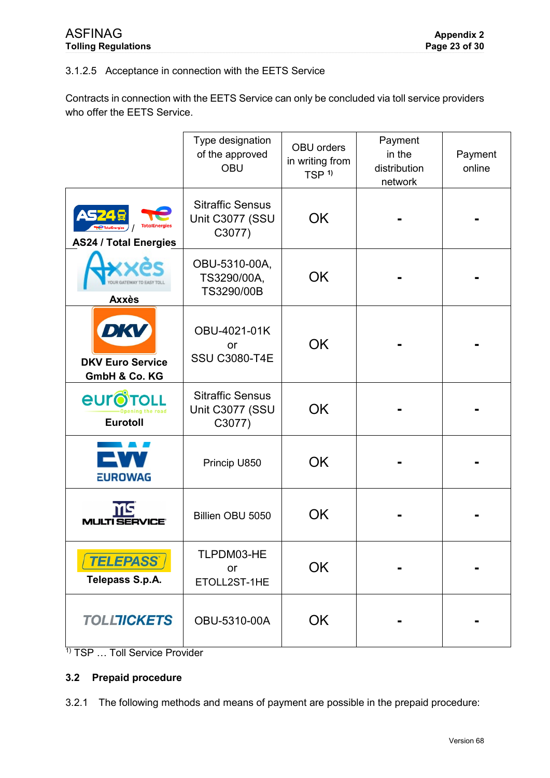## 3.1.2.5 Acceptance in connection with the EETS Service

Contracts in connection with the EETS Service can only be concluded via toll service providers who offer the EETS Service.

|                                                                 | Type designation<br>of the approved<br><b>OBU</b>    | <b>OBU</b> orders<br>in writing from<br>TSP <sup>1)</sup> | Payment<br>in the<br>distribution<br>network | Payment<br>online |
|-----------------------------------------------------------------|------------------------------------------------------|-----------------------------------------------------------|----------------------------------------------|-------------------|
| AS 74 5<br><b>TotalEnergies</b><br><b>AS24 / Total Energies</b> | <b>Sitraffic Sensus</b><br>Unit C3077 (SSU<br>C3077) | OK                                                        |                                              |                   |
| <b>Axxès</b>                                                    | OBU-5310-00A,<br>TS3290/00A,<br>TS3290/00B           | <b>OK</b>                                                 |                                              |                   |
| DKV<br><b>DKV Euro Service</b><br>GmbH & Co. KG                 | OBU-4021-01K<br>or<br><b>SSU C3080-T4E</b>           | <b>OK</b>                                                 |                                              |                   |
| <b><i><u>EULOLOTOLL</u></i></b><br>ening the road<br>Eurotoll   | <b>Sitraffic Sensus</b><br>Unit C3077 (SSU<br>C3077) | <b>OK</b>                                                 |                                              |                   |
| <b>EUROWAG</b>                                                  | Princip U850                                         | <b>OK</b>                                                 |                                              |                   |
| NS.                                                             | Billien OBU 5050                                     | OK                                                        |                                              |                   |
| <b>TELEPASS</b><br>Telepass S.p.A.                              | TLPDM03-HE<br>or<br>ETOLL2ST-1HE                     | OK                                                        |                                              |                   |
| <b>TOLLTICKETS</b>                                              | OBU-5310-00A                                         | OK                                                        |                                              |                   |

<sup>&</sup>lt;sup>1)</sup> TSP ... Toll Service Provider

# **3.2 Prepaid procedure**

3.2.1 The following methods and means of payment are possible in the prepaid procedure: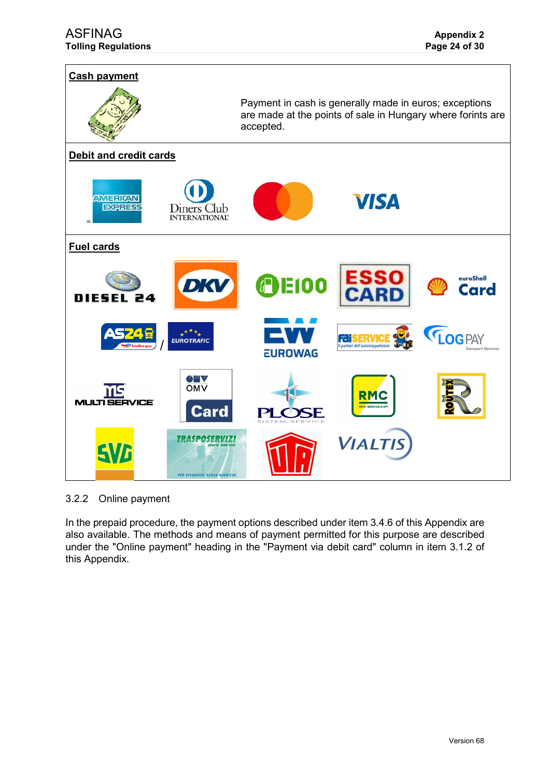

3.2.2 Online payment

In the prepaid procedure, the payment options described under item [3.4.6](#page-29-0) of this Appendix are also available. The methods and means of payment permitted for this purpose are described under the "Online payment" heading in the "Payment via debit card" column in item [3.1.2](#page-9-0) of this Appendix.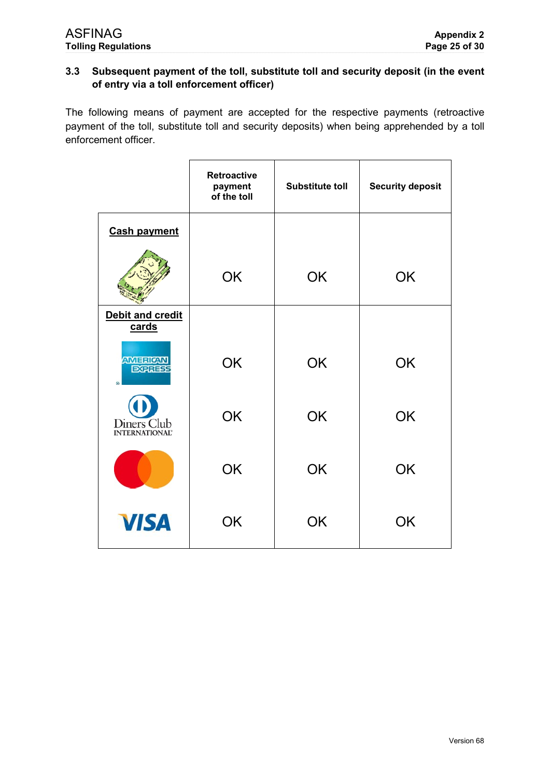# **3.3 Subsequent payment of the toll, substitute toll and security deposit (in the event of entry via a toll enforcement officer)**

The following means of payment are accepted for the respective payments (retroactive payment of the toll, substitute toll and security deposits) when being apprehended by a toll enforcement officer.

|                                        | <b>Retroactive</b><br>payment<br>of the toll | <b>Substitute toll</b> | <b>Security deposit</b> |
|----------------------------------------|----------------------------------------------|------------------------|-------------------------|
| <b>Cash payment</b>                    |                                              |                        |                         |
|                                        | OK                                           | <b>OK</b>              | OK                      |
| Debit and credit<br>cards              |                                              |                        |                         |
| <b>AMERICAN</b><br><b>EXPRESS</b><br>® | <b>OK</b>                                    | <b>OK</b>              | <b>OK</b>               |
| Diners Club<br><b>INTERNATIONAL®</b>   | OK                                           | <b>OK</b>              | <b>OK</b>               |
|                                        | OK                                           | OK                     | <b>OK</b>               |
| <b>VISA</b>                            | OK                                           | <b>OK</b>              | <b>OK</b>               |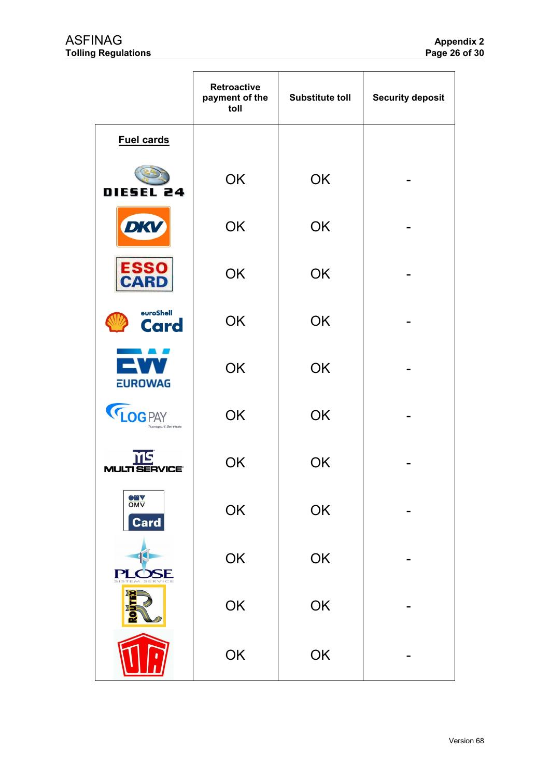|                                            | <b>Retroactive</b><br>payment of the<br>toll | <b>Substitute toll</b> | <b>Security deposit</b> |
|--------------------------------------------|----------------------------------------------|------------------------|-------------------------|
| <b>Fuel cards</b>                          |                                              |                        |                         |
| DIESEL 24                                  | <b>OK</b>                                    | OK                     |                         |
| <b>DKV</b>                                 | <b>OK</b>                                    | <b>OK</b>              |                         |
| ESSO<br>CARD                               | <b>OK</b>                                    | OK                     |                         |
| euroShell<br><b>Card</b>                   | <b>OK</b>                                    | <b>OK</b>              |                         |
| EW<br><b>EUROWAG</b>                       | <b>OK</b>                                    | OK                     |                         |
| <b>LOGPAY</b><br><b>Transport Services</b> | <b>OK</b>                                    | <b>OK</b>              |                         |
| ŃS<br><b>MULTI SERVICE®</b>                | OK                                           | OK                     |                         |
| <b>OMA</b><br>Card                         | OK                                           | OK                     |                         |
| PLOSE                                      | OK                                           | OK                     |                         |
|                                            | OK                                           | OK                     |                         |
|                                            | OK                                           | OK                     |                         |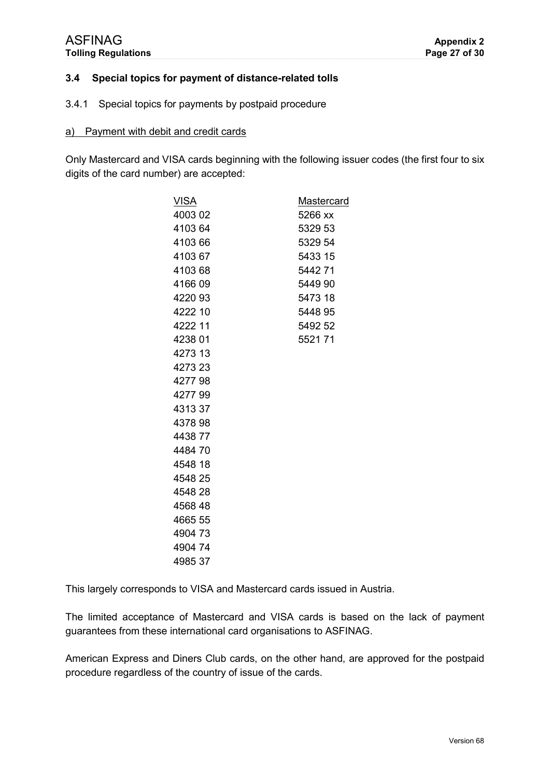### **3.4 Special topics for payment of distance-related tolls**

#### 3.4.1 Special topics for payments by postpaid procedure

#### a) Payment with debit and credit cards

Only Mastercard and VISA cards beginning with the following issuer codes (the first four to six digits of the card number) are accepted:

| <u>VISA</u> | <b>Mastercard</b> |
|-------------|-------------------|
| 4003 02     | 5266 xx           |
| 410364      | 5329 53           |
| 4103 66     | 5329 54           |
| 410367      | 5433 15           |
| 410368      | 544271            |
| 416609      | 5449 90           |
| 422093      | 5473 18           |
| 4222 10     | 5448 95           |
| 4222 11     | 5492 52           |
| 4238 01     | 552171            |
| 4273 13     |                   |
| 4273 23     |                   |
| 427798      |                   |
| 427799      |                   |
| 431337      |                   |
| 4378 98     |                   |
| 443877      |                   |
| 448470      |                   |
| 4548 18     |                   |
| 4548 25     |                   |
| 4548 28     |                   |
| 4568 48     |                   |
| 4665 55     |                   |
| 490473      |                   |
| 490474      |                   |
| 498537      |                   |
|             |                   |

This largely corresponds to VISA and Mastercard cards issued in Austria.

The limited acceptance of Mastercard and VISA cards is based on the lack of payment guarantees from these international card organisations to ASFINAG.

American Express and Diners Club cards, on the other hand, are approved for the postpaid procedure regardless of the country of issue of the cards.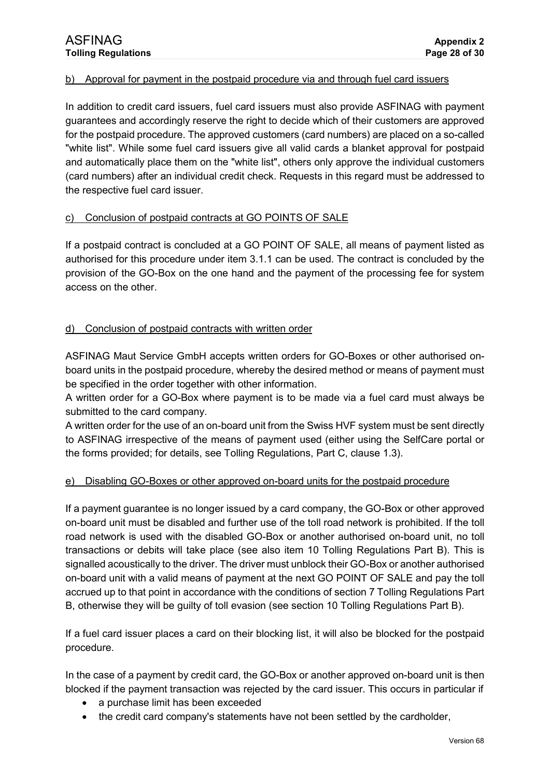### b) Approval for payment in the postpaid procedure via and through fuel card issuers

In addition to credit card issuers, fuel card issuers must also provide ASFINAG with payment guarantees and accordingly reserve the right to decide which of their customers are approved for the postpaid procedure. The approved customers (card numbers) are placed on a so-called "white list". While some fuel card issuers give all valid cards a blanket approval for postpaid and automatically place them on the "white list", others only approve the individual customers (card numbers) after an individual credit check. Requests in this regard must be addressed to the respective fuel card issuer.

#### c) Conclusion of postpaid contracts at GO POINTS OF SALE

If a postpaid contract is concluded at a GO POINT OF SALE, all means of payment listed as authorised for this procedure under item [3.1.1](#page-6-0) can be used. The contract is concluded by the provision of the GO-Box on the one hand and the payment of the processing fee for system access on the other.

#### d) Conclusion of postpaid contracts with written order

ASFINAG Maut Service GmbH accepts written orders for GO-Boxes or other authorised onboard units in the postpaid procedure, whereby the desired method or means of payment must be specified in the order together with other information.

A written order for a GO-Box where payment is to be made via a fuel card must always be submitted to the card company.

A written order for the use of an on-board unit from the Swiss HVF system must be sent directly to ASFINAG irrespective of the means of payment used (either using the SelfCare portal or the forms provided; for details, see Tolling Regulations, Part C, clause 1.3).

### e) Disabling GO-Boxes or other approved on-board units for the postpaid procedure

If a payment guarantee is no longer issued by a card company, the GO-Box or other approved on-board unit must be disabled and further use of the toll road network is prohibited. If the toll road network is used with the disabled GO-Box or another authorised on-board unit, no toll transactions or debits will take place (see also item 10 Tolling Regulations Part B). This is signalled acoustically to the driver. The driver must unblock their GO-Box or another authorised on-board unit with a valid means of payment at the next GO POINT OF SALE and pay the toll accrued up to that point in accordance with the conditions of section 7 Tolling Regulations Part B, otherwise they will be guilty of toll evasion (see section 10 Tolling Regulations Part B).

If a fuel card issuer places a card on their blocking list, it will also be blocked for the postpaid procedure.

In the case of a payment by credit card, the GO-Box or another approved on-board unit is then blocked if the payment transaction was rejected by the card issuer. This occurs in particular if

- a purchase limit has been exceeded
- the credit card company's statements have not been settled by the cardholder,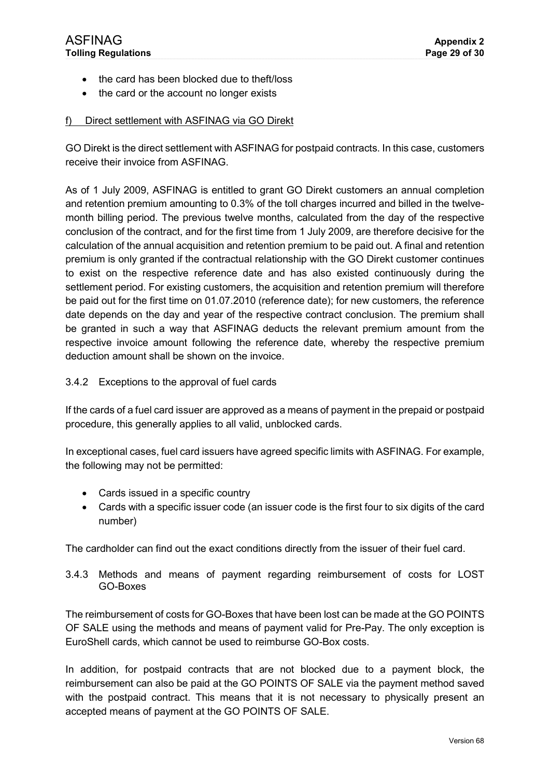- the card has been blocked due to theft/loss
- the card or the account no longer exists

### f) Direct settlement with ASFINAG via GO Direkt

GO Direkt is the direct settlement with ASFINAG for postpaid contracts. In this case, customers receive their invoice from ASFINAG.

As of 1 July 2009, ASFINAG is entitled to grant GO Direkt customers an annual completion and retention premium amounting to 0.3% of the toll charges incurred and billed in the twelvemonth billing period. The previous twelve months, calculated from the day of the respective conclusion of the contract, and for the first time from 1 July 2009, are therefore decisive for the calculation of the annual acquisition and retention premium to be paid out. A final and retention premium is only granted if the contractual relationship with the GO Direkt customer continues to exist on the respective reference date and has also existed continuously during the settlement period. For existing customers, the acquisition and retention premium will therefore be paid out for the first time on 01.07.2010 (reference date); for new customers, the reference date depends on the day and year of the respective contract conclusion. The premium shall be granted in such a way that ASFINAG deducts the relevant premium amount from the respective invoice amount following the reference date, whereby the respective premium deduction amount shall be shown on the invoice.

### 3.4.2 Exceptions to the approval of fuel cards

If the cards of a fuel card issuer are approved as a means of payment in the prepaid or postpaid procedure, this generally applies to all valid, unblocked cards.

In exceptional cases, fuel card issuers have agreed specific limits with ASFINAG. For example, the following may not be permitted:

- Cards issued in a specific country
- Cards with a specific issuer code (an issuer code is the first four to six digits of the card number)

The cardholder can find out the exact conditions directly from the issuer of their fuel card.

3.4.3 Methods and means of payment regarding reimbursement of costs for LOST GO-Boxes

The reimbursement of costs for GO-Boxes that have been lost can be made at the GO POINTS OF SALE using the methods and means of payment valid for Pre-Pay. The only exception is EuroShell cards, which cannot be used to reimburse GO-Box costs.

In addition, for postpaid contracts that are not blocked due to a payment block, the reimbursement can also be paid at the GO POINTS OF SALE via the payment method saved with the postpaid contract. This means that it is not necessary to physically present an accepted means of payment at the GO POINTS OF SALE.